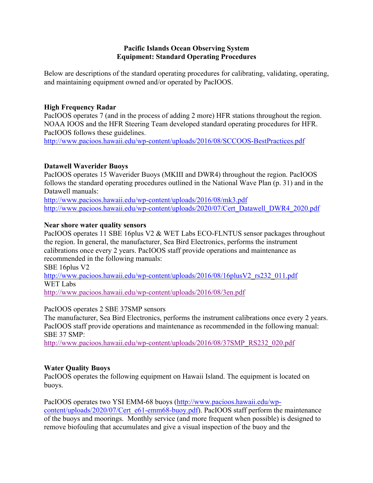## **Pacific Islands Ocean Observing System Equipment: Standard Operating Procedures**

Below are descriptions of the standard operating procedures for calibrating, validating, operating, and maintaining equipment owned and/or operated by PacIOOS.

## **High Frequency Radar**

PacIOOS operates 7 (and in the process of adding 2 more) HFR stations throughout the region. NOAA IOOS and the HFR Steering Team developed standard operating procedures for HFR. PacIOOS follows these guidelines.

http://www.pacioos.hawaii.edu/wp-content/uploads/2016/08/SCCOOS-BestPractices.pdf

## **Datawell Waverider Buoys**

PacIOOS operates 15 Waverider Buoys (MKIII and DWR4) throughout the region. PacIOOS follows the standard operating procedures outlined in the National Wave Plan (p. 31) and in the Datawell manuals:

http://www.pacioos.hawaii.edu/wp-content/uploads/2016/08/mk3.pdf http://www.pacioos.hawaii.edu/wp-content/uploads/2020/07/Cert\_Datawell\_DWR4\_2020.pdf

## **Near shore water quality sensors**

PacIOOS operates 11 SBE 16plus V2 & WET Labs ECO-FLNTUS sensor packages throughout the region. In general, the manufacturer, Sea Bird Electronics, performs the instrument calibrations once every 2 years. PacIOOS staff provide operations and maintenance as recommended in the following manuals:

SBE 16plus V2

http://www.pacioos.hawaii.edu/wp-content/uploads/2016/08/16plusV2\_rs232\_011.pdf WET Labs

http://www.pacioos.hawaii.edu/wp-content/uploads/2016/08/3en.pdf

#### PacIOOS operates 2 SBE 37SMP sensors

The manufacturer, Sea Bird Electronics, performs the instrument calibrations once every 2 years. PacIOOS staff provide operations and maintenance as recommended in the following manual: SBE 37 SMP:

http://www.pacioos.hawaii.edu/wp-content/uploads/2016/08/37SMP\_RS232\_020.pdf

# **Water Quality Buoys**

PacIOOS operates the following equipment on Hawaii Island. The equipment is located on buoys.

#### PacIOOS operates two YSI EMM-68 buoys (http://www.pacioos.hawaii.edu/wp-

content/uploads/2020/07/Cert\_e61-emm68-buoy.pdf). PacIOOS staff perform the maintenance of the buoys and moorings. Monthly service (and more frequent when possible) is designed to remove biofouling that accumulates and give a visual inspection of the buoy and the